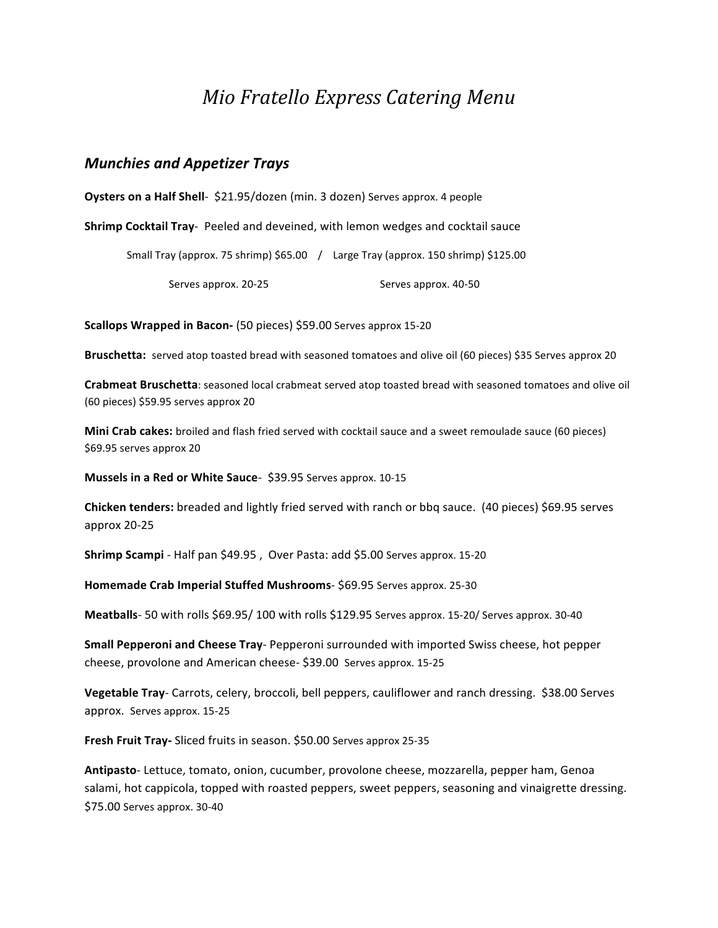# *Mio\$Fratello\$Express\$Catering\$Menu*

#### *Munchies)and)Appetizer)Trays*

**Oysters on a Half Shell**  $$21.95/dozen$  (min. 3 dozen) Serves approx. 4 people

**Shrimp Cocktail Tray** Peeled and deveined, with lemon wedges and cocktail sauce

Small Tray (approx. 75 shrimp) \$65.00 / Large Tray (approx. 150 shrimp) \$125.00

Serves approx. 20-25 Serves approx. 40-50

**Scallops Wrapped in Bacon-** (50 pieces) \$59.00 Serves approx 15-20

**Bruschetta:** served atop toasted bread with seasoned tomatoes and olive oil (60 pieces) \$35 Serves approx 20

**Crabmeat Bruschetta**: seasoned local crabmeat served atop toasted bread with seasoned tomatoes and olive oil (60 pieces) \$59.95 serves approx 20

**Mini Crab cakes:** broiled and flash fried served with cocktail sauce and a sweet remoulade sauce (60 pieces) \$69.95 serves approx 20

**Mussels in a Red or White Sauce** \$39.95 Serves approx. 10-15

**Chicken tenders:** breaded and lightly fried served with ranch or bbq sauce. (40 pieces) \$69.95 serves approx 20-25

Shrimp Scampi - Half pan \$49.95, Over Pasta: add \$5.00 Serves approx. 15-20

Homemade Crab Imperial Stuffed Mushrooms- \$69.95 Serves approx. 25-30

**Meatballs** 50 with rolls \$69.95/100 with rolls \$129.95 Serves approx. 15-20/ Serves approx. 30-40

**Small Pepperoni and Cheese Tray** - Pepperoni surrounded with imported Swiss cheese, hot pepper cheese, provolone and American cheese- \$39.00 Serves approx. 15-25

Vegetable Tray- Carrots, celery, broccoli, bell peppers, cauliflower and ranch dressing. \$38.00 Serves approx. Serves approx. 15-25

Fresh Fruit Tray- Sliced fruits in season. \$50.00 Serves approx 25-35

Antipasto-Lettuce, tomato, onion, cucumber, provolone cheese, mozzarella, pepper ham, Genoa salami, hot cappicola, topped with roasted peppers, sweet peppers, seasoning and vinaigrette dressing. \$75.00 Serves approx. 30-40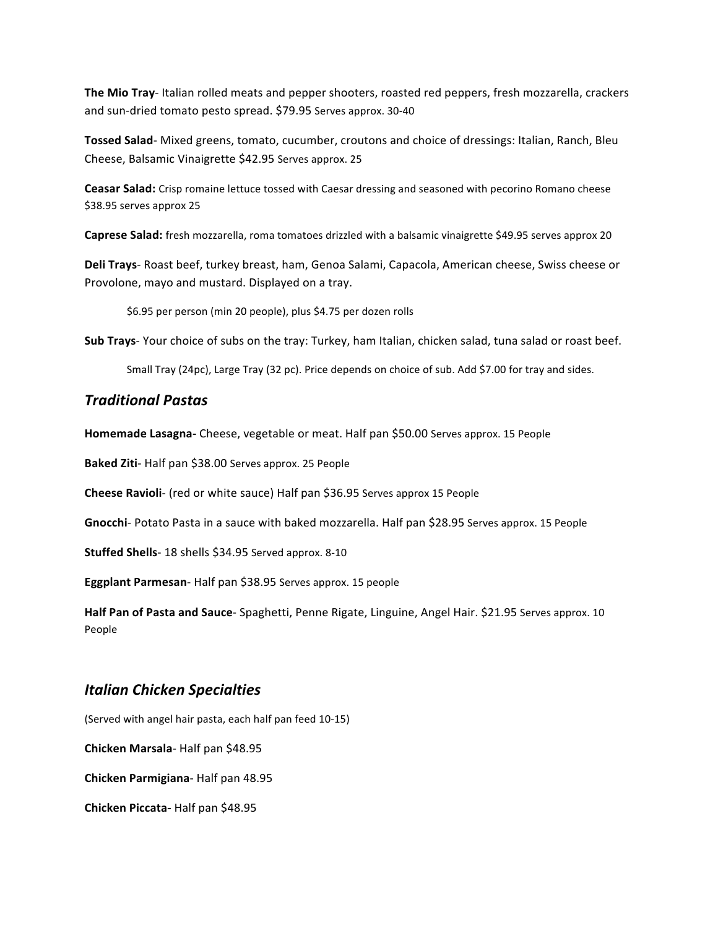**The Mio Tray** Italian rolled meats and pepper shooters, roasted red peppers, fresh mozzarella, crackers and sun-dried tomato pesto spread. \$79.95 Serves approx. 30-40

Tossed Salad- Mixed greens, tomato, cucumber, croutons and choice of dressings: Italian, Ranch, Bleu Cheese, Balsamic Vinaigrette \$42.95 Serves approx. 25

**Ceasar Salad:** Crisp romaine lettuce tossed with Caesar dressing and seasoned with pecorino Romano cheese \$38.95 serves approx 25

**Caprese Salad:** fresh mozzarella, roma tomatoes drizzled with a balsamic vinaigrette \$49.95 serves approx 20

Deli Trays- Roast beef, turkey breast, ham, Genoa Salami, Capacola, American cheese, Swiss cheese or Provolone, mayo and mustard. Displayed on a tray.

\$6.95 per person (min 20 people), plus \$4.75 per dozen rolls

**Sub Trays** Your choice of subs on the tray: Turkey, ham Italian, chicken salad, tuna salad or roast beef.

Small Tray (24pc), Large Tray (32 pc). Price depends on choice of sub. Add \$7.00 for tray and sides.

#### *Traditional)Pastas*

**Homemade Lasagna-** Cheese, vegetable or meat. Half pan \$50.00 Serves approx. 15 People

Baked Ziti- Half pan \$38.00 Serves approx. 25 People

**Cheese Ravioli** (red or white sauce) Half pan \$36.95 Serves approx 15 People

Gnocchi- Potato Pasta in a sauce with baked mozzarella. Half pan \$28.95 Serves approx. 15 People

Stuffed Shells- 18 shells \$34.95 Served approx. 8-10

**Eggplant Parmesan** - Half pan \$38.95 Serves approx. 15 people

Half Pan of Pasta and Sauce- Spaghetti, Penne Rigate, Linguine, Angel Hair. \$21.95 Serves approx. 10 People

### *Italian)Chicken)Specialties*

(Served with angel hair pasta, each half pan feed 10-15)

**Chicken Marsala**-Half pan \$48.95

**Chicken Parmigiana** - Half pan 48.95

**Chicken Piccata-Half pan \$48.95**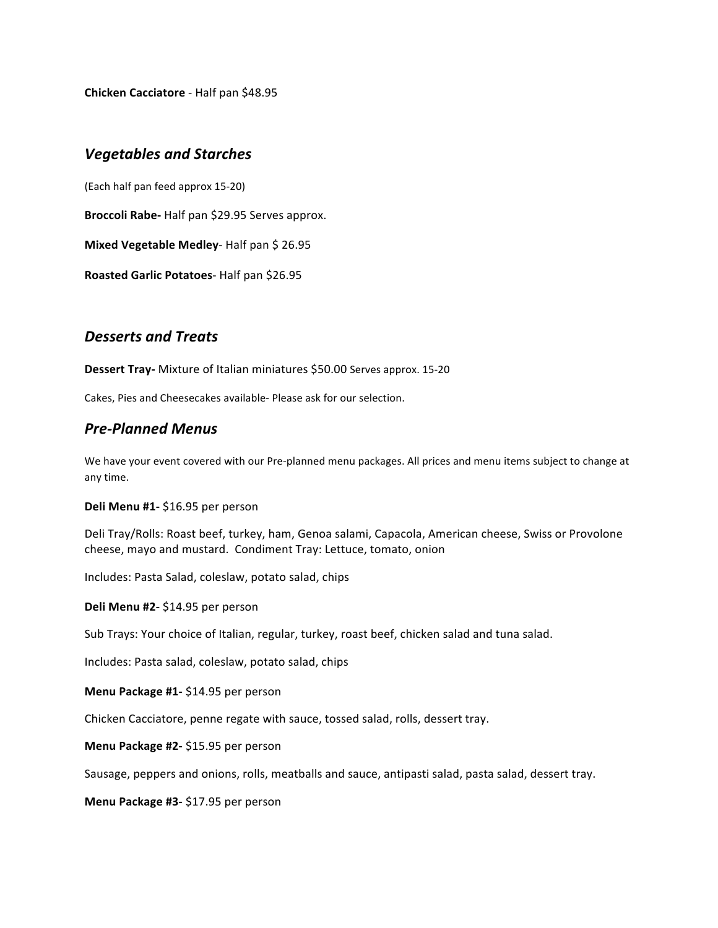**Chicken Cacciatore** - Half pan \$48.95

#### **Vegetables and Starches**

(Each half pan feed approx 15-20)

Broccoli Rabe- Half pan \$29.95 Serves approx.

**Mixed Vegetable Medley**- Half pan \$ 26.95

**Roasted Garlic Potatoes** Half pan \$26.95

### *Desserts)and)Treats*

**Dessert Tray-** Mixture of Italian miniatures \$50.00 Serves approx. 15-20

Cakes, Pies and Cheesecakes available- Please ask for our selection.

#### *Pre>Planned)Menus*

We have your event covered with our Pre-planned menu packages. All prices and menu items subject to change at any time.

**Deli Menu #1-** \$16.95 per person

Deli Tray/Rolls: Roast beef, turkey, ham, Genoa salami, Capacola, American cheese, Swiss or Provolone cheese, mayo and mustard. Condiment Tray: Lettuce, tomato, onion

Includes: Pasta Salad, coleslaw, potato salad, chips

Deli Menu #2- \$14.95 per person

Sub Trays: Your choice of Italian, regular, turkey, roast beef, chicken salad and tuna salad.

Includes: Pasta salad, coleslaw, potato salad, chips

**Menu Package #1- \$14.95 per person** 

Chicken Cacciatore, penne regate with sauce, tossed salad, rolls, dessert tray.

**Menu Package #2- \$15.95 per person** 

Sausage, peppers and onions, rolls, meatballs and sauce, antipasti salad, pasta salad, dessert tray.

**Menu Package #3- \$17.95 per person**